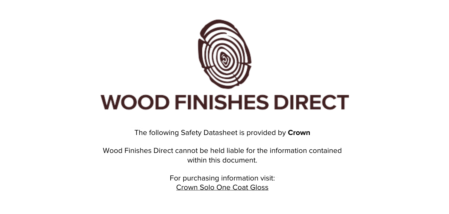

The following Safety Datasheet is provided by **Crown**

Wood Finishes Direct cannot be held liable for the information contained within this document

> For purchasing information visit: [Crown Solo One Coat Gloss](https://www.wood-finishes-direct.com/product/crown-solo-one-coat-gloss)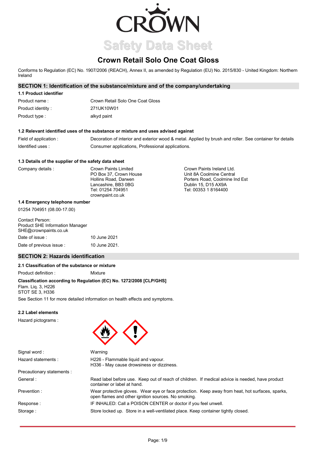

# **Crown Retail Solo One Coat Gloss**

Conforms to Regulation (EC) No. 1907/2006 (REACH), Annex II, as amended by Regulation (EU) No. 2015/830 - United Kingdom: Northern Ireland

# **SECTION 1: Identification of the substance/mixture and of the company/undertaking**

| 1.1 Product identifier |                                  |
|------------------------|----------------------------------|
| Product name:          | Crown Retail Solo One Coat Gloss |
| Product identity:      | 271UK10W01                       |
| Product type :         | alkyd paint                      |

#### **1.2 Relevant identified uses of the substance or mixture and uses advised against**

Field of application : Decoration of interior and exterior wood & metal. Applied by brush and roller. See container for details Identified uses : Consumer applications, Professional applications.

#### **1.3 Details of the supplier of the safety data sheet**

| Company details | Crown Paints Limited   | Crown Paints Ireland Ltd.      |
|-----------------|------------------------|--------------------------------|
|                 | PO Box 37. Crown House | Unit 8A Coolmine Central       |
|                 | Hollins Road, Darwen   | Porters Road, Coolmine Ind Est |
|                 | Lancashire, BB3 0BG    | Dublin 15, D15 AX9A            |
|                 | Tel: 01254 704951      | Tel: 00353 1 8164400           |
|                 | crownpaint.co.uk       |                                |

#### **1.4 Emergency telephone number**

01254 704951 (08.00-17.00)

| Contact Person:<br><b>Product SHE Information Manager</b><br>SHE@crownpaints.co.uk |               |
|------------------------------------------------------------------------------------|---------------|
| Date of issue :                                                                    | 10 June 2021  |
| Date of previous issue :                                                           | 10 June 2021. |

### **SECTION 2: Hazards identification**

### **2.1 Classification of the substance or mixture**

Product definition : Mixture

# **Classification according to Regulation (EC) No. 1272/2008 [CLP/GHS]**

Flam. Liq. 3, H226 STOT SE 3, H336

See Section 11 for more detailed information on health effects and symptoms.

Warning

### **2.2 Label elements**

Hazard pictograms :



container or label at hand.

Signal word : Hazard statements :

H226 - Flammable liquid and vapour. H336 - May cause drowsiness or dizziness.

open flames and other ignition sources. No smoking.

Precautionary statements : General :

Prevention :

Response : Storage :

IF INHALED: Call a POISON CENTER or doctor if you feel unwell. Store locked up. Store in a well-ventilated place. Keep container tightly closed.

Wear protective gloves. Wear eye or face protection. Keep away from heat, hot surfaces, sparks,

Read label before use. Keep out of reach of children. If medical advice is needed, have product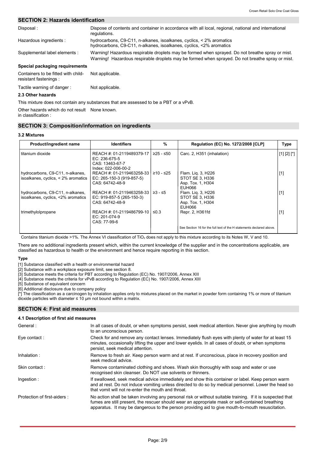# **SECTION 2: Hazards identification**

| Disposal:                                                    | Dispose of contents and container in accordance with all local, regional, national and international<br>regulations.                                                                                 |
|--------------------------------------------------------------|------------------------------------------------------------------------------------------------------------------------------------------------------------------------------------------------------|
| Hazardous ingredients :                                      | hydrocarbons, $C9-C11$ , n-alkanes, isoalkanes, cyclics, $\lt 2\%$ aromatics<br>hydrocarbons, C9-C11, n-alkanes, isoalkanes, cyclics, <2% aromatics                                                  |
| Supplemental label elements :                                | Warning! Hazardous respirable droplets may be formed when sprayed. Do not breathe spray or mist.<br>Warning! Hazardous respirable droplets may be formed when sprayed. Do not breathe spray or mist. |
| Special packaging requirements                               |                                                                                                                                                                                                      |
| Containers to be fitted with child-<br>resistant fastenings: | Not applicable.                                                                                                                                                                                      |
| Tactile warning of danger:                                   | Not applicable.                                                                                                                                                                                      |

#### **2.3 Other hazards**

This mixture does not contain any substances that are assessed to be a PBT or a vPvB.

Other hazards which do not result None known. in classification :

### **SECTION 3: Composition/information on ingredients**

#### **3.2 Mixtures**

| Product/ingredient name                                                 | <b>Identifiers</b>                                                                     | $\frac{9}{6}$ | <b>Regulation (EC) No. 1272/2008 [CLP]</b>                           | <b>Type</b>   |
|-------------------------------------------------------------------------|----------------------------------------------------------------------------------------|---------------|----------------------------------------------------------------------|---------------|
| titanium dioxide                                                        | REACH #: 01-2119489379-17  <br>EC: 236-675-5<br>CAS: 13463-67-7<br>Index: 022-006-00-2 | $≥25 - ≤50$   | Carc. 2, H351 (inhalation)                                           | $[1] [2] [*]$ |
| hydrocarbons, C9-C11, n-alkanes,<br>isoalkanes, cyclics, < 2% aromatics | REACH #: 01-2119463258-33  <br>EC: 265-150-3 (919-857-5)<br>CAS: 64742-48-9            | ≥10 - ≤25     | Flam. Lig. 3, H226<br>STOT SE 3, H336<br>Asp. Tox. 1, H304<br>EUH066 | $[1]$         |
| hydrocarbons, C9-C11, n-alkanes,<br>isoalkanes, cyclics, <2% aromatics  | REACH #: 01-2119463258-33<br>EC: 919-857-5 (265-150-3)<br>CAS: 64742-48-9              | $≥3 - ≤5$     | Flam. Lig. 3, H226<br>STOT SE 3, H336<br>Asp. Tox. 1, H304<br>EUH066 | $[1]$         |
| trimethylolpropane                                                      | REACH #: 01-2119486799-10<br>$EC: 201-074-9$<br>CAS: 77-99-6                           | $\leq 0.3$    | Repr. 2, H361fd                                                      | $[1]$         |
|                                                                         |                                                                                        |               | See Section 16 for the full text of the H statements declared above. |               |

Contains titanium dioxide >1%. The Annex VI classification of TiO<sub>2</sub> does not apply to this mixture according to its Notes W, V and 10.

There are no additional ingredients present which, within the current knowledge of the supplier and in the concentrations applicable, are classified as hazardous to health or the environment and hence require reporting in this section.

#### **Type**

[1] Substance classified with a health or environmental hazard

[2] Substance with a workplace exposure limit, see section 8.

[3] Substance meets the criteria for PBT according to Regulation (EC) No. 1907/2006, Annex XIII

[4] Substance meets the criteria for vPvB according to Regulation (EC) No. 1907/2006, Annex XIII

[5] Substance of equivalent concern

[6] Additional disclosure due to company policy

[\*] The classification as a carcinogen by inhalation applies only to mixtures placed on the market in powder form containing 1% or more of titanium dioxide particles with diameter  $\leq 10$  µm not bound within a matrix.

#### **SECTION 4: First aid measures**

#### **4.1 Description of first aid measures**

| General:                    | In all cases of doubt, or when symptoms persist, seek medical attention. Never give anything by mouth<br>to an unconscious person.                                                                                                                                                                                 |
|-----------------------------|--------------------------------------------------------------------------------------------------------------------------------------------------------------------------------------------------------------------------------------------------------------------------------------------------------------------|
| Eye contact:                | Check for and remove any contact lenses. Immediately flush eyes with plenty of water for at least 15<br>minutes, occasionally lifting the upper and lower eyelids. In all cases of doubt, or when symptoms<br>persist, seek medical attention.                                                                     |
| Inhalation:                 | Remove to fresh air. Keep person warm and at rest. If unconscious, place in recovery position and<br>seek medical advice.                                                                                                                                                                                          |
| Skin contact:               | Remove contaminated clothing and shoes. Wash skin thoroughly with soap and water or use<br>recognised skin cleanser. Do NOT use solvents or thinners.                                                                                                                                                              |
| Ingestion:                  | If swallowed, seek medical advice immediately and show this container or label. Keep person warm<br>and at rest. Do not induce vomiting unless directed to do so by medical personnel. Lower the head so<br>that vomit will not re-enter the mouth and throat.                                                     |
| Protection of first-aiders: | No action shall be taken involving any personal risk or without suitable training. If it is suspected that<br>fumes are still present, the rescuer should wear an appropriate mask or self-contained breathing<br>apparatus. It may be dangerous to the person providing aid to give mouth-to-mouth resuscitation. |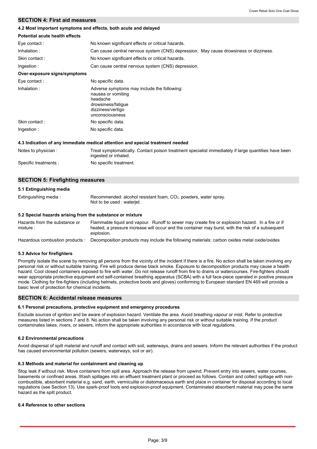# **SECTION 4: First aid measures**

#### **4.2 Most important symptoms and effects, both acute and delayed**

| Potential acute health effects |                                                                                                                                             |
|--------------------------------|---------------------------------------------------------------------------------------------------------------------------------------------|
| Eye contact:                   | No known significant effects or critical hazards.                                                                                           |
| Inhalation:                    | Can cause central nervous system (CNS) depression. May cause drowsiness or dizziness.                                                       |
| Skin contact:                  | No known significant effects or critical hazards.                                                                                           |
| Ingestion:                     | Can cause central nervous system (CNS) depression.                                                                                          |
| Over-exposure signs/symptoms   |                                                                                                                                             |
| Eye contact:                   | No specific data.                                                                                                                           |
| Inhalation:                    | Adverse symptoms may include the following:<br>nausea or vomiting<br>headache<br>drowsiness/fatigue<br>dizziness/vertigo<br>unconsciousness |
| Skin contact:                  | No specific data.                                                                                                                           |
| Ingestion:                     | No specific data.                                                                                                                           |

#### **4.3 Indication of any immediate medical attention and special treatment needed**

| Notes to physician:   | Treat symptomatically. Contact poison treatment specialist immediately if large quantities have been<br>ingested or inhaled. |
|-----------------------|------------------------------------------------------------------------------------------------------------------------------|
| Specific treatments : | No specific treatment.                                                                                                       |

### **SECTION 5: Firefighting measures**

#### **5.1 Extinguishing media**

| Extinguishing media: | Recommended: alcohol resistant foam, $CO2$ , powders, water spray. |
|----------------------|--------------------------------------------------------------------|
|                      | Not to be used : waterjet.                                         |

#### **5.2 Special hazards arising from the substance or mixture**

| Hazards from the substance or   | Flammable liquid and vapour. Runoff to sewer may create fire or explosion hazard. In a fire or if |
|---------------------------------|---------------------------------------------------------------------------------------------------|
| mixture :                       | heated, a pressure increase will occur and the container may burst, with the risk of a subsequent |
|                                 | explosion.                                                                                        |
| Hazardous combustion products : | Decomposition products may include the following materials: carbon oxides metal oxide/oxides      |

### **5.3 Advice for firefighters**

Promptly isolate the scene by removing all persons from the vicinity of the incident if there is a fire. No action shall be taken involving any personal risk or without suitable training. Fire will produce dense black smoke. Exposure to decomposition products may cause a health hazard. Cool closed containers exposed to fire with water. Do not release runoff from fire to drains or watercourses. Fire-fighters should wear appropriate protective equipment and self-contained breathing apparatus (SCBA) with a full face-piece operated in positive pressure mode. Clothing for fire-fighters (including helmets, protective boots and gloves) conforming to European standard EN 469 will provide a basic level of protection for chemical incidents.

### **SECTION 6: Accidental release measures**

### **6.1 Personal precautions, protective equipment and emergency procedures**

Exclude sources of ignition and be aware of explosion hazard. Ventilate the area. Avoid breathing vapour or mist. Refer to protective measures listed in sections 7 and 8. No action shall be taken involving any personal risk or without suitable training. If the product contaminates lakes, rivers, or sewers, inform the appropriate authorities in accordance with local regulations.

#### **6.2 Environmental precautions**

Avoid dispersal of spilt material and runoff and contact with soil, waterways, drains and sewers. Inform the relevant authorities if the product has caused environmental pollution (sewers, waterways, soil or air).

### **6.3 Methods and material for containment and cleaning up**

Stop leak if without risk. Move containers from spill area. Approach the release from upwind. Prevent entry into sewers, water courses, basements or confined areas. Wash spillages into an effluent treatment plant or proceed as follows. Contain and collect spillage with noncombustible, absorbent material e.g. sand, earth, vermiculite or diatomaceous earth and place in container for disposal according to local regulations (see Section 13). Use spark-proof tools and explosion-proof equipment. Contaminated absorbent material may pose the same hazard as the spilt product.

#### **6.4 Reference to other sections**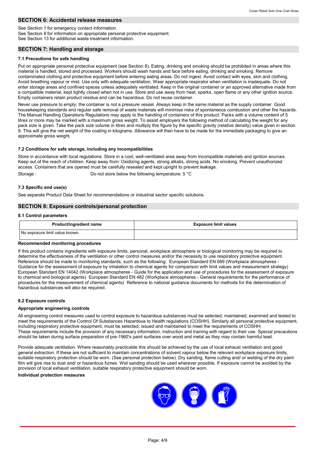# **SECTION 6: Accidental release measures**

See Section 1 for emergency contact information.

See Section 8 for information on appropriate personal protective equipment.

See Section 13 for additional waste treatment information.

### **SECTION 7: Handling and storage**

### **7.1 Precautions for safe handling**

Put on appropriate personal protective equipment (see Section 8). Eating, drinking and smoking should be prohibited in areas where this material is handled, stored and processed. Workers should wash hands and face before eating, drinking and smoking. Remove contaminated clothing and protective equipment before entering eating areas. Do not ingest. Avoid contact with eyes, skin and clothing. Avoid breathing vapour or mist. Use only with adequate ventilation. Wear appropriate respirator when ventilation is inadequate. Do not enter storage areas and confined spaces unless adequately ventilated. Keep in the original container or an approved alternative made from a compatible material, kept tightly closed when not in use. Store and use away from heat, sparks, open flame or any other ignition source. Empty containers retain product residue and can be hazardous. Do not reuse container.

Never use pressure to empty; the container is not a pressure vessel. Always keep in the same material as the supply container. Good housekeeping standards and regular safe removal of waste materials will minimise risks of spontaneous combustion and other fire hazards. The Manual Handling Operations Regulations may apply to the handling of containers of this product. Packs with a volume content of 5 litres or more may be marked with a maximum gross weight. To assist employers the following method of calculating the weight for any pack size is given. Take the pack size volume in litres and multiply this figure by the specific gravity (relative density) value given in section 9. This will give the net weight of the coating in kilograms. Allowance will then have to be made for the immediate packaging to give an approximate gross weight.

### **7.2 Conditions for safe storage, including any incompatibilities**

Store in accordance with local regulations. Store in a cool, well-ventilated area away from incompatible materials and ignition sources. Keep out of the reach of children. Keep away from: Oxidizing agents, strong alkalis, strong acids. No smoking. Prevent unauthorized access. Containers that are opened must be carefully resealed and kept upright to prevent leakage. Storage : Do not store below the following temperature: 5 °C

### **7.3 Specific end use(s)**

See separate Product Data Sheet for recommendations or industrial sector specific solutions.

### **SECTION 8: Exposure controls/personal protection**

#### **8.1 Control parameters**

| <b>Product/ingredient name</b> | <b>Exposure limit values</b> |
|--------------------------------|------------------------------|
| No exposure limit value known. |                              |

### **Recommended monitoring procedures**

If this product contains ingredients with exposure limits, personal, workplace atmosphere or biological monitoring may be required to determine the effectiveness of the ventilation or other control measures and/or the necessity to use respiratory protective equipment. Reference should be made to monitoring standards, such as the following: European Standard EN 689 (Workplace atmospheres - Guidance for the assessment of exposure by inhalation to chemical agents for comparison with limit values and measurement strategy) European Standard EN 14042 (Workplace atmospheres - Guide for the application and use of procedures for the assessment of exposure to chemical and biological agents) European Standard EN 482 (Workplace atmospheres - General requirements for the performance of procedures for the measurement of chemical agents) Reference to national guidance documents for methods for the determination of hazardous substances will also be required.

### **8.2 Exposure controls**

### **Appropriate engineering controls**

All engineering control measures used to control exposure to hazardous substances must be selected, maintained, examined and tested to meet the requirements of the Control Of Substances Hazardous to Health regulations (COSHH). Similarly all personal protective equipment, including respiratory protective equipment, must be selected, issued and maintained to meet the requirements of COSHH. These requirements include the provision of any necessary information, instruction and training with regard to their use. Special precautions should be taken during surface preparation of pre-1960's paint surfaces over wood and metal as they may contain harmful lead.

Provide adequate ventilation. Where reasonably practicable this should be achieved by the use of local exhaust ventilation and good general extraction. If these are not sufficient to maintain concentrations of solvent vapour below the relevant workplace exposure limits, suitable respiratory protection should be worn. (See personal protection below). Dry sanding, flame cutting and/ or welding of the dry paint film will give rise to dust and/ or hazardous fumes. Wet sanding should be used wherever possible. If exposure cannot be avoided by the provision of local exhaust ventilation, suitable respiratory protective equipment should be worn.

### **Individual protection measures**

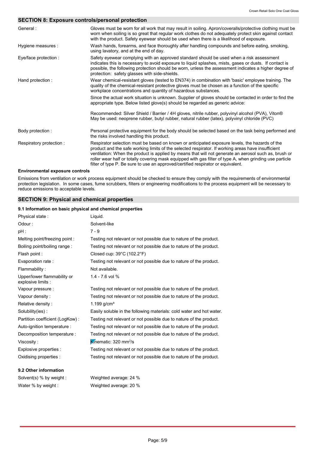### **SECTION 8: Exposure controls/personal protection**

| Gloves must be worn for all work that may result in soiling. Apron/coveralls/protective clothing must be<br>worn when soiling is so great that regular work clothes do not adequately protect skin against contact<br>with the product. Safety eyewear should be used when there is a likelihood of exposure.                                                                                                                                                                                                 |
|---------------------------------------------------------------------------------------------------------------------------------------------------------------------------------------------------------------------------------------------------------------------------------------------------------------------------------------------------------------------------------------------------------------------------------------------------------------------------------------------------------------|
| Wash hands, forearms, and face thoroughly after handling compounds and before eating, smoking,<br>using lavatory, and at the end of day.                                                                                                                                                                                                                                                                                                                                                                      |
| Safety eyewear complying with an approved standard should be used when a risk assessment<br>indicates this is necessary to avoid exposure to liquid splashes, mists, gases or dusts. If contact is<br>possible, the following protection should be worn, unless the assessment indicates a higher degree of<br>protection: safety glasses with side-shields.                                                                                                                                                  |
| Wear chemical-resistant gloves (tested to EN374) in combination with 'basic' employee training. The<br>quality of the chemical-resistant protective gloves must be chosen as a function of the specific<br>workplace concentrations and quantity of hazardous substances.                                                                                                                                                                                                                                     |
| Since the actual work situation is unknown. Supplier of gloves should be contacted in order to find the<br>appropriate type. Below listed glove(s) should be regarded as generic advice:                                                                                                                                                                                                                                                                                                                      |
| Recommended: Silver Shield / Barrier / 4H gloves, nitrile rubber, polyvinyl alcohol (PVA), Viton®<br>May be used: neoprene rubber, butyl rubber, natural rubber (latex), polyvinyl chloride (PVC)                                                                                                                                                                                                                                                                                                             |
| Personal protective equipment for the body should be selected based on the task being performed and<br>the risks involved handling this product.                                                                                                                                                                                                                                                                                                                                                              |
| Respirator selection must be based on known or anticipated exposure levels, the hazards of the<br>product and the safe working limits of the selected respirator. If working areas have insufficient<br>ventilation: When the product is applied by means that will not generate an aerosol such as, brush or<br>roller wear half or totally covering mask equipped with gas filter of type A, when grinding use particle<br>filter of type P. Be sure to use an approved/certified respirator or equivalent. |
|                                                                                                                                                                                                                                                                                                                                                                                                                                                                                                               |

### **Environmental exposure controls**

Emissions from ventilation or work process equipment should be checked to ensure they comply with the requirements of environmental protection legislation. In some cases, fume scrubbers, filters or engineering modifications to the process equipment will be necessary to reduce emissions to acceptable levels.

### **SECTION 9: Physical and chemical properties**

### **9.1 Information on basic physical and chemical properties**

| Physical state:                                   | Liquid.                                                              |
|---------------------------------------------------|----------------------------------------------------------------------|
| Odour:                                            | Solvent-like                                                         |
| $pH$ :                                            | $7 - 9$                                                              |
| Melting point/freezing point:                     | Testing not relevant or not possible due to nature of the product.   |
| Boiling point/boiling range:                      | Testing not relevant or not possible due to nature of the product.   |
| Flash point :                                     | Closed cup: $39^{\circ}$ C (102.2 $^{\circ}$ F)                      |
| Evaporation rate:                                 | Testing not relevant or not possible due to nature of the product.   |
| Flammability:                                     | Not available.                                                       |
| Upper/lower flammability or<br>explosive limits : | $1.4 - 7.6$ vol %                                                    |
| Vapour pressure :                                 | Testing not relevant or not possible due to nature of the product.   |
| Vapour density:                                   | Testing not relevant or not possible due to nature of the product.   |
| Relative density:                                 | 1.199 $g/cm^{3}$                                                     |
| Solubility(ies):                                  | Easily soluble in the following materials: cold water and hot water. |
| Partition coefficient (LogKow):                   | Testing not relevant or not possible due to nature of the product.   |
| Auto-ignition temperature :                       | Testing not relevant or not possible due to nature of the product.   |
| Decomposition temperature :                       | Testing not relevant or not possible due to nature of the product.   |
| Viscosity:                                        | Kinematic: 320 mm <sup>2</sup> /s                                    |
| Explosive properties :                            | Testing not relevant or not possible due to nature of the product.   |
| Oxidising properties :                            | Testing not relevant or not possible due to nature of the product.   |
| 9.2 Other information                             |                                                                      |

Solvent(s) % by weight : Weighted average: 24 %

Water % by weight : Weighted average: 20 %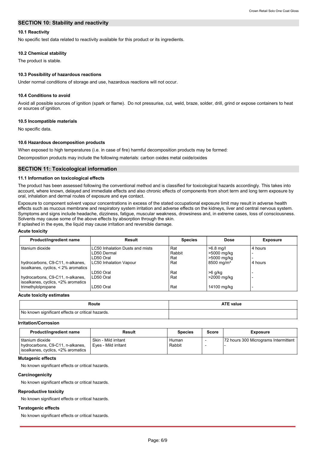### **SECTION 10: Stability and reactivity**

### **10.1 Reactivity**

No specific test data related to reactivity available for this product or its ingredients.

#### **10.2 Chemical stability**

The product is stable.

#### **10.3 Possibility of hazardous reactions**

Under normal conditions of storage and use, hazardous reactions will not occur.

#### **10.4 Conditions to avoid**

Avoid all possible sources of ignition (spark or flame). Do not pressurise, cut, weld, braze, solder, drill, grind or expose containers to heat or sources of ignition.

#### **10.5 Incompatible materials**

No specific data.

#### **10.6 Hazardous decomposition products**

When exposed to high temperatures (i.e. in case of fire) harmful decomposition products may be formed:

Decomposition products may include the following materials: carbon oxides metal oxide/oxides

#### **SECTION 11: Toxicological information**

### **11.1 Information on toxicological effects**

The product has been assessed following the conventional method and is classified for toxicological hazards accordingly. This takes into account, where known, delayed and immediate effects and also chronic effects of components from short term and long term exposure by oral, inhalation and dermal routes of exposure and eye contact.

Exposure to component solvent vapour concentrations in excess of the stated occupational exposure limit may result in adverse health effects such as mucous membrane and respiratory system irritation and adverse effects on the kidneys, liver and central nervous system. Symptoms and signs include headache, dizziness, fatigue, muscular weakness, drowsiness and, in extreme cases, loss of consciousness. Solvents may cause some of the above effects by absorption through the skin.

If splashed in the eyes, the liquid may cause irritation and reversible damage.

#### **Acute toxicity**

| Product/ingredient name                                                 | Result                                 | <b>Species</b> | Dose                     | <b>Exposure</b>          |
|-------------------------------------------------------------------------|----------------------------------------|----------------|--------------------------|--------------------------|
| titanium dioxide                                                        | <b>LC50 Inhalation Dusts and mists</b> | Rat            | $>6.8$ mg/l              | 4 hours                  |
|                                                                         | LD50 Dermal                            | Rabbit         | >5000 mg/kg              |                          |
|                                                                         | LD50 Oral                              | Rat            | >5000 mg/kg              | $\overline{\phantom{0}}$ |
| hydrocarbons, C9-C11, n-alkanes,<br>isoalkanes, cyclics, < 2% aromatics | LC50 Inhalation Vapour                 | Rat            | $8500 \,\mathrm{mq/m^3}$ | 4 hours                  |
|                                                                         | LD50 Oral                              | Rat            | $>6$ g/kg                |                          |
| hydrocarbons, C9-C11, n-alkanes,<br>isoalkanes, cyclics, <2% aromatics  | LD50 Oral                              | Rat            | >2000 mg/kg              |                          |
| trimethylolpropane                                                      | LD50 Oral                              | Rat            | 14100 mg/kg              | -                        |

**Acute toxicity estimates**

| Route                                             | <b>ATE value</b> |
|---------------------------------------------------|------------------|
| No known significant effects or critical hazards. |                  |

#### **Irritation/Corrosion**

| Product/ingredient name                                                                      | Result                                       | <b>Species</b>  | <b>Score</b> | <b>Exposure</b>                      |
|----------------------------------------------------------------------------------------------|----------------------------------------------|-----------------|--------------|--------------------------------------|
| l titanium dioxide<br>hydrocarbons, C9-C11, n-alkanes,<br>isoalkanes, cyclics, <2% aromatics | Skin - Mild irritant<br>Eyes - Mild irritant | Human<br>Rabbit |              | 72 hours 300 Micrograms Intermittent |

### **Mutagenic effects**

No known significant effects or critical hazards.

#### **Carcinogenicity**

No known significant effects or critical hazards.

### **Reproductive toxicity**

No known significant effects or critical hazards.

#### **Teratogenic effects**

No known significant effects or critical hazards.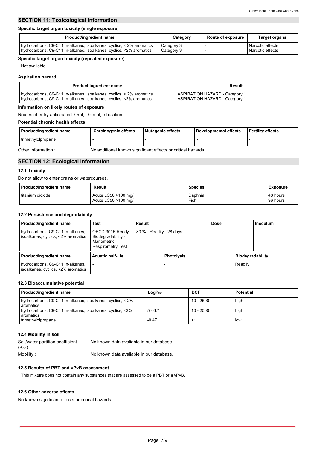# **SECTION 11: Toxicological information**

### **Specific target organ toxicity (single exposure)**

| Product/ingredient name                                              | Category   | <b>Route of exposure</b> | <b>Target organs</b> |
|----------------------------------------------------------------------|------------|--------------------------|----------------------|
| hydrocarbons, C9-C11, n-alkanes, isoalkanes, cyclics, < 2% aromatics | Category 3 |                          | Narcotic effects     |
| hydrocarbons, C9-C11, n-alkanes, isoalkanes, cyclics, <2% aromatics  | Category 3 |                          | Narcotic effects     |

### **Specific target organ toxicity (repeated exposure)**

Not available.

### **Aspiration hazard**

| <b>Product/ingredient name</b>                                       | Result                                |
|----------------------------------------------------------------------|---------------------------------------|
| hydrocarbons, C9-C11, n-alkanes, isoalkanes, cyclics, < 2% aromatics | <b>ASPIRATION HAZARD - Category 1</b> |
| hydrocarbons, C9-C11, n-alkanes, isoalkanes, cyclics, <2% aromatics  | <b>ASPIRATION HAZARD - Category 1</b> |

### **Information on likely routes of exposure**

Routes of entry anticipated: Oral, Dermal, Inhalation.

# **Potential chronic health effects**

| Product/ingredient name                                                            | Carcinogenic effects | Mutagenic effects | l Developmental effects | l Fertilitv effects |  |  |
|------------------------------------------------------------------------------------|----------------------|-------------------|-------------------------|---------------------|--|--|
| trimethylolpropane                                                                 |                      |                   |                         |                     |  |  |
| No additional known significant effects or critical hazards.<br>Other information: |                      |                   |                         |                     |  |  |

# **SECTION 12: Ecological information**

#### **12.1 Toxicity**

Do not allow to enter drains or watercourses.

| <b>Product/ingredient name</b> | Result                 | <b>Species</b> | Exposure |
|--------------------------------|------------------------|----------------|----------|
| titanium dioxide               | Acute LC50 $>100$ mg/l | Daphnia        | 48 hours |
|                                | Acute LC50 >100 mg/l   | Fish           | 96 hours |

### **12.2 Persistence and degradability**

| Product/ingredient name                                                | Test                                                                            | Result                   |                   | <b>Dose</b> |                         | <b>Inoculum</b> |
|------------------------------------------------------------------------|---------------------------------------------------------------------------------|--------------------------|-------------------|-------------|-------------------------|-----------------|
| hydrocarbons, C9-C11, n-alkanes,<br>isoalkanes, cyclics, <2% aromatics | OECD 301F Ready<br>Biodegradability -<br>Manometric<br><b>Respirometry Test</b> | 80 % - Readily - 28 days |                   |             |                         |                 |
| Product/ingredient name                                                | <b>Aquatic half-life</b>                                                        |                          | <b>Photolysis</b> |             | <b>Biodegradability</b> |                 |
| hydrocarbons, C9-C11, n-alkanes,<br>isoalkanes, cyclics, <2% aromatics |                                                                                 |                          |                   |             | Readily                 |                 |

### **12.3 Bioaccumulative potential**

| <b>Product/ingredient name</b>                                          | $LogP_{ow}$ | <b>BCF</b>  | <b>Potential</b> |
|-------------------------------------------------------------------------|-------------|-------------|------------------|
| hydrocarbons, C9-C11, n-alkanes, isoalkanes, cyclics, < 2%<br>aromatics | <b>.</b>    | $10 - 2500$ | high             |
| hydrocarbons, C9-C11, n-alkanes, isoalkanes, cyclics, <2%<br>aromatics  | $5 - 6.7$   | $10 - 2500$ | high             |
| trimethylolpropane                                                      | $-0.47$     |             | low              |

### **12.4 Mobility in soil**

| Soil/water partition coefficient | No known data avaliable in our database. |
|----------------------------------|------------------------------------------|
| ( $\mathsf{K}_{\mathsf{oc}}$ ) : |                                          |
| Mobility :                       | No known data avaliable in our database. |

### **12.5 Results of PBT and vPvB assessment**

This mixture does not contain any substances that are assessed to be a PBT or a vPvB.

### **12.6 Other adverse effects**

No known significant effects or critical hazards.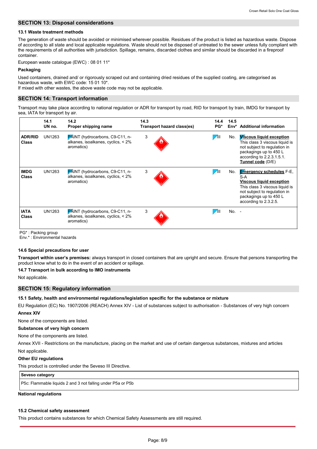### **SECTION 13: Disposal considerations**

#### **13.1 Waste treatment methods**

The generation of waste should be avoided or minimised wherever possible. Residues of the product is listed as hazardous waste. Dispose of according to all state and local applicable regulations. Waste should not be disposed of untreated to the sewer unless fully compliant with the requirements of all authorities with jurisdiction. Spillage, remains, discarded clothes and similar should be discarded in a fireproof container.

European waste catalogue (EWC) : 08 01 11\*

#### **Packaging**

Used containers, drained and/ or rigorously scraped out and containing dried residues of the supplied coating, are categorised as hazardous waste, with EWC code: 15 01 10\*.

If mixed with other wastes, the above waste code may not be applicable.

### **SECTION 14: Transport information**

Transport may take place according to national regulation or ADR for transport by road, RID for transport by train, IMDG for transport by sea, IATA for transport by air.

|                                | 14.1<br>UN no. | 14.2<br>Proper shipping name                                                        | 14.3<br>Transport hazard class(es) | 14.4<br>PG* | 14.5<br>Env* | <b>Additional information</b>                                                                                                                                                                  |
|--------------------------------|----------------|-------------------------------------------------------------------------------------|------------------------------------|-------------|--------------|------------------------------------------------------------------------------------------------------------------------------------------------------------------------------------------------|
| <b>ADR/RID</b><br><b>Class</b> | UN1263         | PAINT (hydrocarbons, C9-C11, n-<br>alkanes, isoalkanes, cyclics, < 2%<br>aromatics) | 3                                  | $\sqrt{11}$ | No.          | <b>Wiscous liquid exception</b><br>This class 3 viscous liquid is<br>not subject to regulation in<br>packagings up to 450 L<br>according to 2.2.3.1.5.1.<br>Tunnel code (D/E)                  |
| <b>IMDG</b><br><b>Class</b>    | UN1263         | PÁINT (hydrocarbons, C9-C11, n-<br>alkanes, isoalkanes, cyclics, < 2%<br>aromatics) | 3                                  | $\sqrt{11}$ | No.          | <b>Emergency schedules F-E.</b><br>S-A<br><b>Viscous liquid exception</b><br>This class 3 viscous liquid is<br>not subject to regulation in<br>packagings up to 450 L<br>according to 2.3.2.5. |
| <b>IATA</b><br><b>Class</b>    | UN1263         | PÁINT (hydrocarbons, C9-C11, n-<br>alkanes, isoalkanes, cyclics, < 2%<br>aromatics) | 3                                  |             | $No. -$      |                                                                                                                                                                                                |

PG\* : Packing group

Env.\* : Environmental hazards

#### **14.6 Special precautions for user**

**Transport within user's premises:** always transport in closed containers that are upright and secure. Ensure that persons transporting the product know what to do in the event of an accident or spillage.

### **14.7 Transport in bulk according to IMO instruments**

Not applicable.

### **SECTION 15: Regulatory information**

**15.1 Safety, health and environmental regulations/legislation specific for the substance or mixture**

EU Regulation (EC) No. 1907/2006 (REACH) Annex XIV - List of substances subject to authorisation - Substances of very high concern **Annex XIV**

None of the components are listed.

#### **Substances of very high concern**

None of the components are listed.

Not applicable. Annex XVII - Restrictions on the manufacture, placing on the market and use of certain dangerous substances, mixtures and articles

#### **Other EU regulations**

This product is controlled under the Seveso III Directive.

#### **Seveso category**

P5c: Flammable liquids 2 and 3 not falling under P5a or P5b

#### **National regulations**

#### **15.2 Chemical safety assessment**

This product contains substances for which Chemical Safety Assessments are still required.